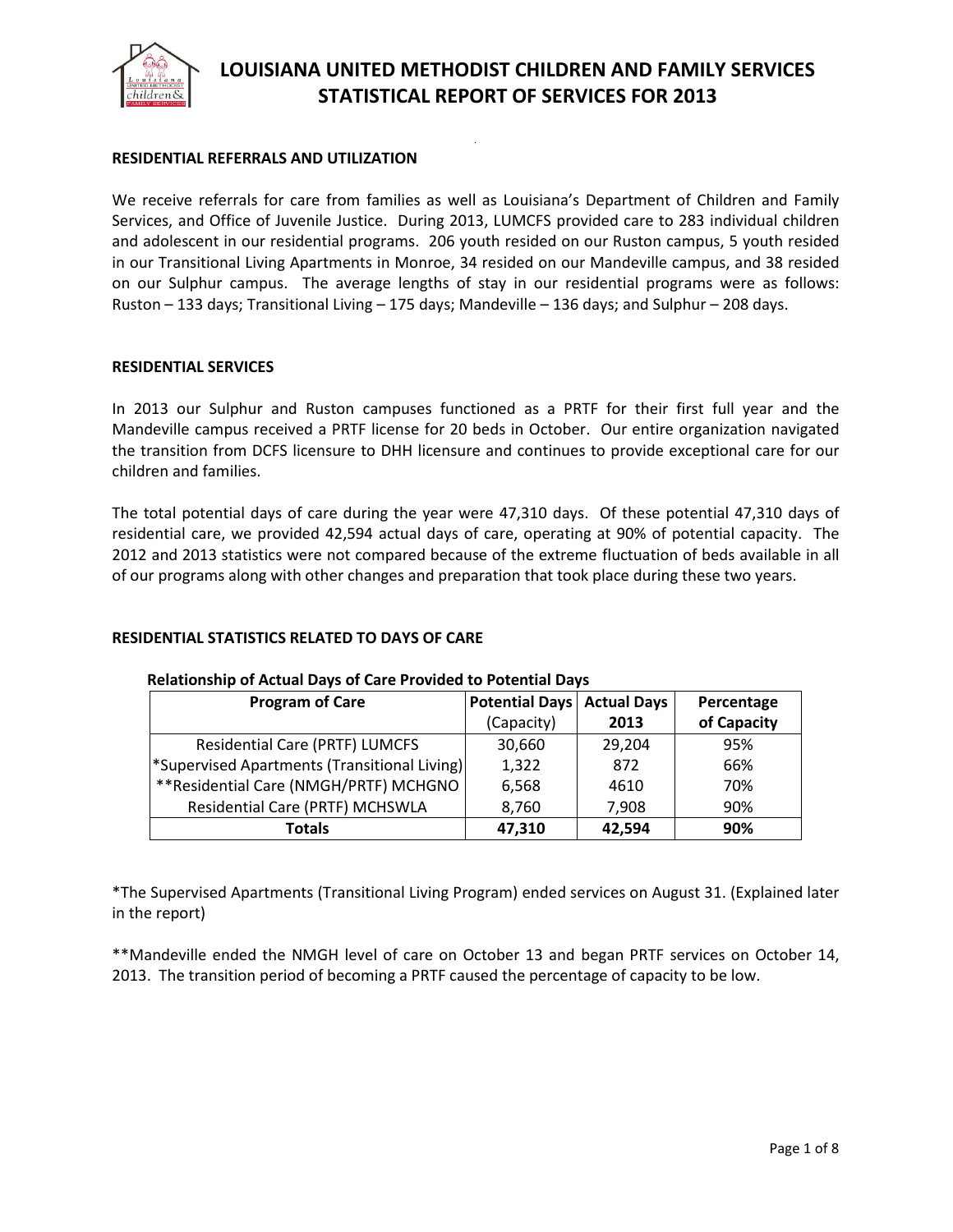

# **RESIDENTIAL REFERRALS AND UTILIZATION**

We receive referrals for care from families as well as Louisiana's Department of Children and Family Services, and Office of Juvenile Justice. During 2013, LUMCFS provided care to 283 individual children and adolescent in our residential programs. 206 youth resided on our Ruston campus, 5 youth resided in our Transitional Living Apartments in Monroe, 34 resided on our Mandeville campus, and 38 resided on our Sulphur campus. The average lengths of stay in our residential programs were as follows: Ruston – 133 days; Transitional Living – 175 days; Mandeville – 136 days; and Sulphur – 208 days.

#### **RESIDENTIAL SERVICES**

In 2013 our Sulphur and Ruston campuses functioned as a PRTF for their first full year and the Mandeville campus received a PRTF license for 20 beds in October. Our entire organization navigated the transition from DCFS licensure to DHH licensure and continues to provide exceptional care for our children and families.

The total potential days of care during the year were 47,310 days. Of these potential 47,310 days of residential care, we provided 42,594 actual days of care, operating at 90% of potential capacity. The 2012 and 2013 statistics were not compared because of the extreme fluctuation of beds available in all of our programs along with other changes and preparation that took place during these two years.

# **RESIDENTIAL STATISTICS RELATED TO DAYS OF CARE**

| <b>Program of Care</b>                                   | Potential Days   Actual Days |        | Percentage  |
|----------------------------------------------------------|------------------------------|--------|-------------|
|                                                          | (Capacity)                   | 2013   | of Capacity |
| <b>Residential Care (PRTF) LUMCFS</b>                    | 30,660                       | 29,204 | 95%         |
| <sup>*</sup> Supervised Apartments (Transitional Living) | 1,322                        | 872    | 66%         |
| ** Residential Care (NMGH/PRTF) MCHGNO                   | 6,568                        | 4610   | 70%         |
| Residential Care (PRTF) MCHSWLA                          | 8,760                        | 7,908  | 90%         |
| <b>Totals</b>                                            | 47,310                       | 42,594 | 90%         |

#### **Relationship of Actual Days of Care Provided to Potential Days**

\*The Supervised Apartments (Transitional Living Program) ended services on August 31. (Explained later in the report)

\*\*Mandeville ended the NMGH level of care on October 13 and began PRTF services on October 14, 2013. The transition period of becoming a PRTF caused the percentage of capacity to be low.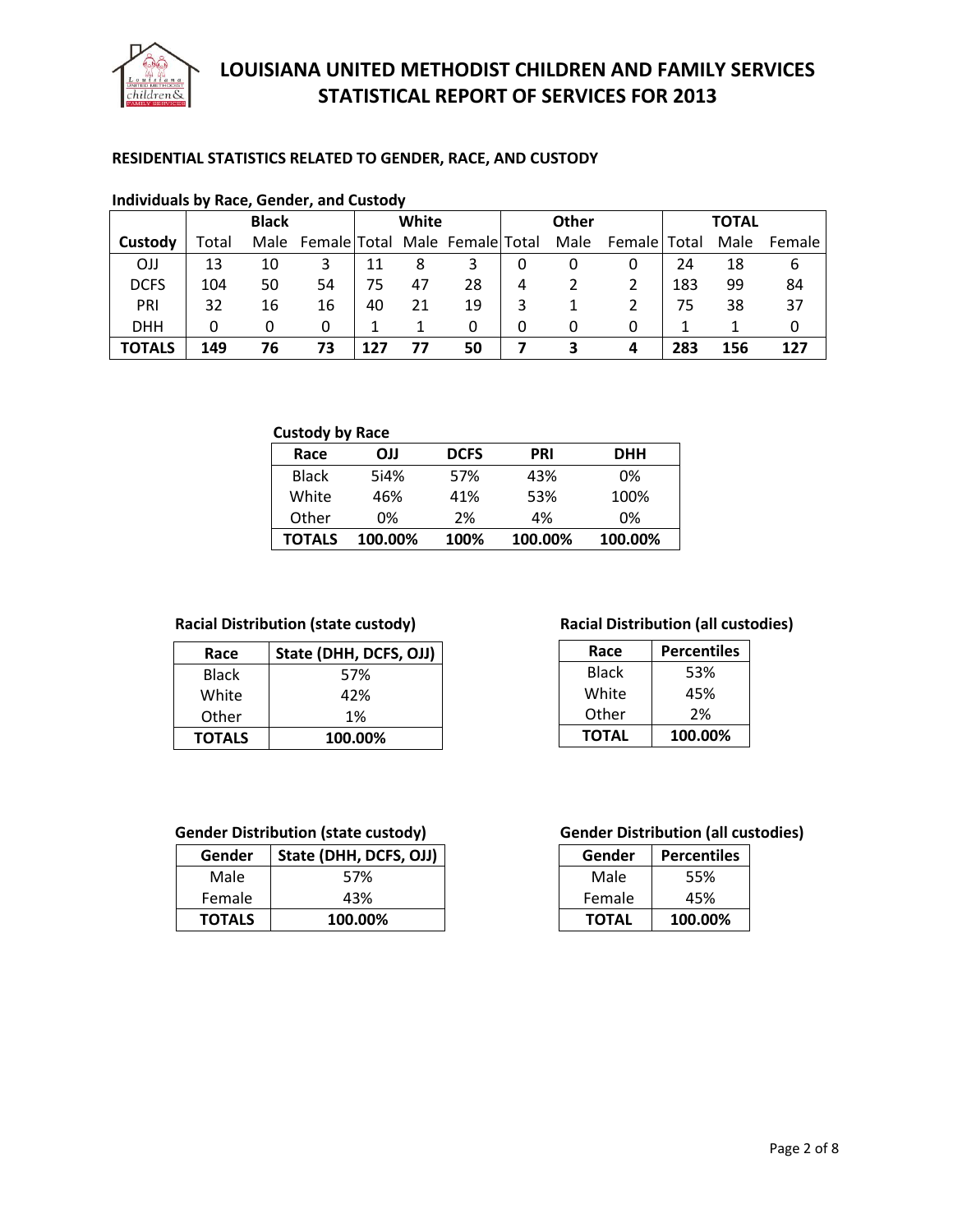

# **RESIDENTIAL STATISTICS RELATED TO GENDER, RACE, AND CUSTODY**

| <b>HOLD MANUAL AND HOLD, OCHACI, UNIX CUSTOMY</b> |       |              |                                     |     |       |    |   |              |                |     |              |        |
|---------------------------------------------------|-------|--------------|-------------------------------------|-----|-------|----|---|--------------|----------------|-----|--------------|--------|
|                                                   |       | <b>Black</b> |                                     |     | White |    |   | <b>Other</b> |                |     | <b>TOTAL</b> |        |
| Custody                                           | Total |              | Male Female Total Male Female Total |     |       |    |   | Male         | Female   Total |     | Male         | Female |
| <b>OJJ</b>                                        | 13    | 10           |                                     |     | 8     | 3  |   |              |                | 24  | 18           | b      |
| <b>DCFS</b>                                       | 104   | 50           | 54                                  | 75  | 47    | 28 | 4 |              |                | 183 | 99           | 84     |
| PRI                                               | 32    | 16           | 16                                  | 40  | 21    | 19 |   |              |                | 75  | 38           | 37     |
| <b>DHH</b>                                        |       |              | 0                                   |     |       | 0  | 0 | 0            | 0              |     |              |        |
| <b>TOTALS</b>                                     | 149   | 76           | 73                                  | 127 | 77    | 50 |   | 3            | 4              | 283 | 156          | 127    |

## **Individuals by Race, Gender, and Custody**

# **Custody by Race**

| Race         | LLO     | <b>DCFS</b> | <b>PRI</b> | <b>DHH</b> |
|--------------|---------|-------------|------------|------------|
| <b>Black</b> | 5i4%    | 57%         | 43%        | 0%         |
| White        | 46%     | 41%         | 53%        | 100%       |
| Other        | 0%      | 2%          | 4%         | 0%         |
| TOTALS       | 100.00% | 100%        | 100.00%    | 100.00%    |

### **Racial Distribution (state custody) Racial Distribution (all custodies)**

| Race          | State (DHH, DCFS, OJJ) |  |  |
|---------------|------------------------|--|--|
| Black         | 57%                    |  |  |
| White         | 42%                    |  |  |
| Other         | 1%                     |  |  |
| <b>TOTALS</b> | 100.00%                |  |  |

| Race         | <b>Percentiles</b> |  |
|--------------|--------------------|--|
| Black        | 53%                |  |
| White        | 45%                |  |
| Other        | 2%                 |  |
| <b>TOTAL</b> | 100.00%            |  |

| Gender        | State (DHH, DCFS, OJJ) |
|---------------|------------------------|
| Male          | 57%                    |
| Female        | 43%                    |
| <b>TOTALS</b> | 100.00%                |

## **Gender Distribution (state custody) Gender Distribution (all custodies)**

| Gender       | <b>Percentiles</b> |
|--------------|--------------------|
| Male         | 55%                |
| Female       | 45%                |
| <b>TOTAL</b> | 100.00%            |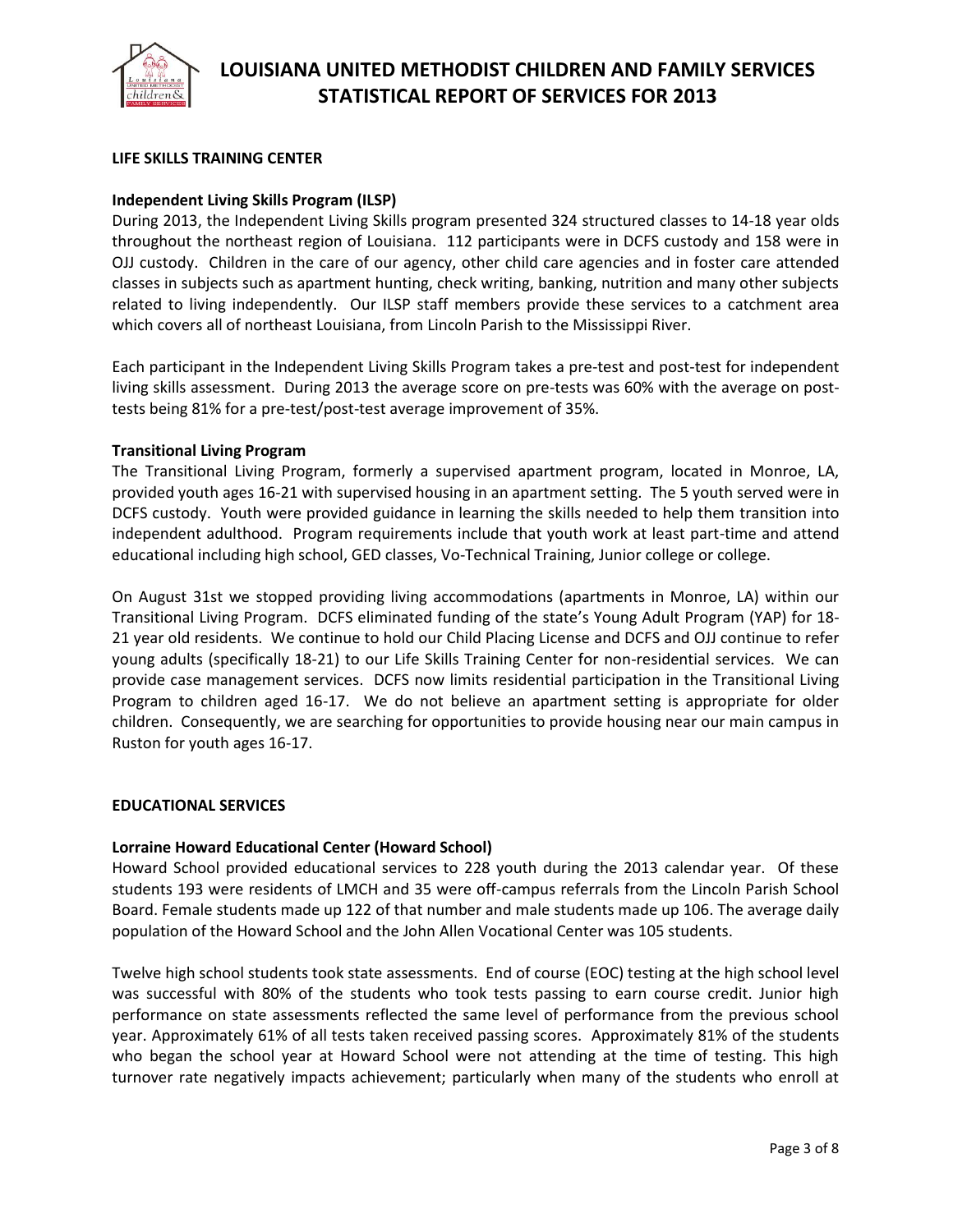

# **LIFE SKILLS TRAINING CENTER**

## **Independent Living Skills Program (ILSP)**

During 2013, the Independent Living Skills program presented 324 structured classes to 14-18 year olds throughout the northeast region of Louisiana. 112 participants were in DCFS custody and 158 were in OJJ custody. Children in the care of our agency, other child care agencies and in foster care attended classes in subjects such as apartment hunting, check writing, banking, nutrition and many other subjects related to living independently. Our ILSP staff members provide these services to a catchment area which covers all of northeast Louisiana, from Lincoln Parish to the Mississippi River.

Each participant in the Independent Living Skills Program takes a pre-test and post-test for independent living skills assessment. During 2013 the average score on pre-tests was 60% with the average on posttests being 81% for a pre-test/post-test average improvement of 35%.

### **Transitional Living Program**

The Transitional Living Program, formerly a supervised apartment program, located in Monroe, LA, provided youth ages 16-21 with supervised housing in an apartment setting. The 5 youth served were in DCFS custody. Youth were provided guidance in learning the skills needed to help them transition into independent adulthood. Program requirements include that youth work at least part-time and attend educational including high school, GED classes, Vo-Technical Training, Junior college or college.

On August 31st we stopped providing living accommodations (apartments in Monroe, LA) within our Transitional Living Program. DCFS eliminated funding of the state's Young Adult Program (YAP) for 18- 21 year old residents. We continue to hold our Child Placing License and DCFS and OJJ continue to refer young adults (specifically 18-21) to our Life Skills Training Center for non-residential services. We can provide case management services. DCFS now limits residential participation in the Transitional Living Program to children aged 16-17. We do not believe an apartment setting is appropriate for older children. Consequently, we are searching for opportunities to provide housing near our main campus in Ruston for youth ages 16-17.

#### **EDUCATIONAL SERVICES**

#### **Lorraine Howard Educational Center (Howard School)**

Howard School provided educational services to 228 youth during the 2013 calendar year. Of these students 193 were residents of LMCH and 35 were off-campus referrals from the Lincoln Parish School Board. Female students made up 122 of that number and male students made up 106. The average daily population of the Howard School and the John Allen Vocational Center was 105 students.

Twelve high school students took state assessments. End of course (EOC) testing at the high school level was successful with 80% of the students who took tests passing to earn course credit. Junior high performance on state assessments reflected the same level of performance from the previous school year. Approximately 61% of all tests taken received passing scores. Approximately 81% of the students who began the school year at Howard School were not attending at the time of testing. This high turnover rate negatively impacts achievement; particularly when many of the students who enroll at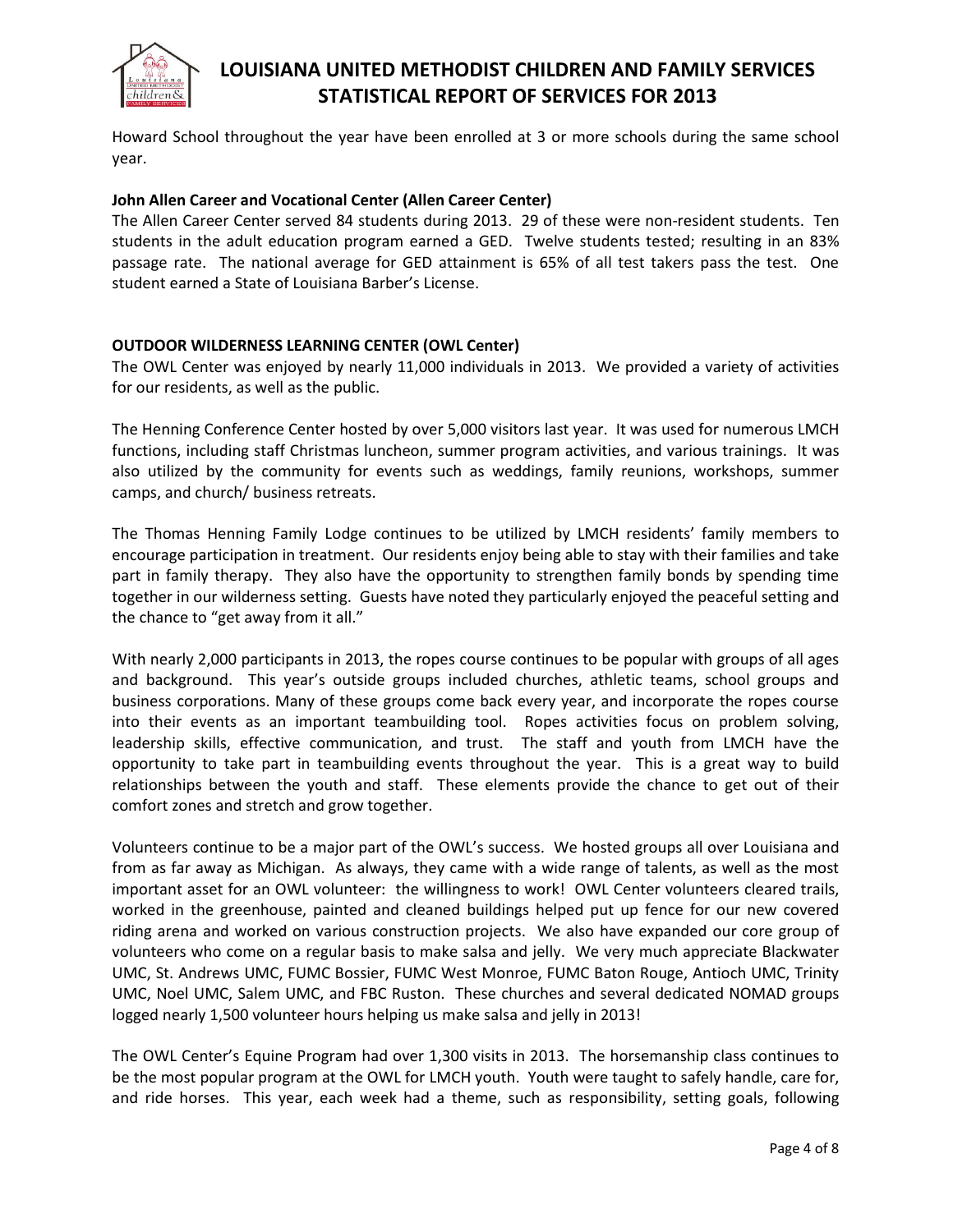

Howard School throughout the year have been enrolled at 3 or more schools during the same school year.

# **John Allen Career and Vocational Center (Allen Career Center)**

The Allen Career Center served 84 students during 2013. 29 of these were non-resident students. Ten students in the adult education program earned a GED. Twelve students tested; resulting in an 83% passage rate. The national average for GED attainment is 65% of all test takers pass the test. One student earned a State of Louisiana Barber's License.

# **OUTDOOR WILDERNESS LEARNING CENTER (OWL Center)**

The OWL Center was enjoyed by nearly 11,000 individuals in 2013. We provided a variety of activities for our residents, as well as the public.

The Henning Conference Center hosted by over 5,000 visitors last year. It was used for numerous LMCH functions, including staff Christmas luncheon, summer program activities, and various trainings. It was also utilized by the community for events such as weddings, family reunions, workshops, summer camps, and church/ business retreats.

The Thomas Henning Family Lodge continues to be utilized by LMCH residents' family members to encourage participation in treatment. Our residents enjoy being able to stay with their families and take part in family therapy. They also have the opportunity to strengthen family bonds by spending time together in our wilderness setting. Guests have noted they particularly enjoyed the peaceful setting and the chance to "get away from it all."

With nearly 2,000 participants in 2013, the ropes course continues to be popular with groups of all ages and background. This year's outside groups included churches, athletic teams, school groups and business corporations. Many of these groups come back every year, and incorporate the ropes course into their events as an important teambuilding tool. Ropes activities focus on problem solving, leadership skills, effective communication, and trust. The staff and youth from LMCH have the opportunity to take part in teambuilding events throughout the year. This is a great way to build relationships between the youth and staff. These elements provide the chance to get out of their comfort zones and stretch and grow together.

Volunteers continue to be a major part of the OWL's success. We hosted groups all over Louisiana and from as far away as Michigan. As always, they came with a wide range of talents, as well as the most important asset for an OWL volunteer: the willingness to work! OWL Center volunteers cleared trails, worked in the greenhouse, painted and cleaned buildings helped put up fence for our new covered riding arena and worked on various construction projects. We also have expanded our core group of volunteers who come on a regular basis to make salsa and jelly. We very much appreciate Blackwater UMC, St. Andrews UMC, FUMC Bossier, FUMC West Monroe, FUMC Baton Rouge, Antioch UMC, Trinity UMC, Noel UMC, Salem UMC, and FBC Ruston. These churches and several dedicated NOMAD groups logged nearly 1,500 volunteer hours helping us make salsa and jelly in 2013!

The OWL Center's Equine Program had over 1,300 visits in 2013. The horsemanship class continues to be the most popular program at the OWL for LMCH youth. Youth were taught to safely handle, care for, and ride horses. This year, each week had a theme, such as responsibility, setting goals, following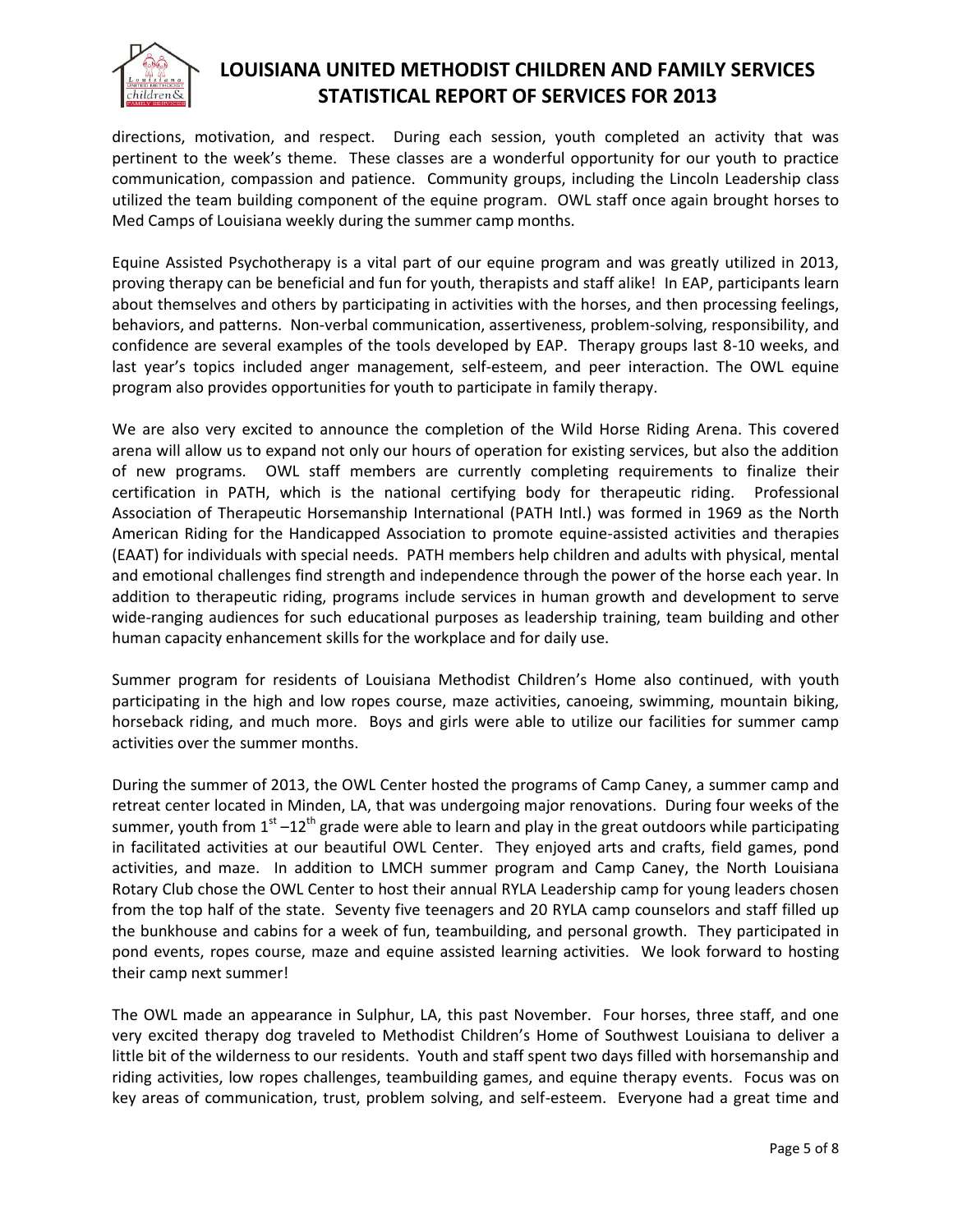

directions, motivation, and respect. During each session, youth completed an activity that was pertinent to the week's theme. These classes are a wonderful opportunity for our youth to practice communication, compassion and patience. Community groups, including the Lincoln Leadership class utilized the team building component of the equine program. OWL staff once again brought horses to Med Camps of Louisiana weekly during the summer camp months.

Equine Assisted Psychotherapy is a vital part of our equine program and was greatly utilized in 2013, proving therapy can be beneficial and fun for youth, therapists and staff alike! In EAP, participants learn about themselves and others by participating in activities with the horses, and then processing feelings, behaviors, and patterns. Non-verbal communication, assertiveness, problem-solving, responsibility, and confidence are several examples of the tools developed by EAP. Therapy groups last 8-10 weeks, and last year's topics included anger management, self-esteem, and peer interaction. The OWL equine program also provides opportunities for youth to participate in family therapy.

We are also very excited to announce the completion of the Wild Horse Riding Arena. This covered arena will allow us to expand not only our hours of operation for existing services, but also the addition of new programs. OWL staff members are currently completing requirements to finalize their certification in PATH, which is the national certifying body for therapeutic riding. Professional Association of Therapeutic Horsemanship International (PATH Intl.) was formed in 1969 as the North American Riding for the Handicapped Association to promote equine-assisted activities and therapies (EAAT) for individuals with special needs. PATH members help children and adults with physical, mental and emotional challenges find strength and independence through the power of the horse each year. In addition to therapeutic riding, programs include services in human growth and development to serve wide-ranging audiences for such educational purposes as leadership training, team building and other human capacity enhancement skills for the workplace and for daily use.

Summer program for residents of Louisiana Methodist Children's Home also continued, with youth participating in the high and low ropes course, maze activities, canoeing, swimming, mountain biking, horseback riding, and much more. Boys and girls were able to utilize our facilities for summer camp activities over the summer months.

During the summer of 2013, the OWL Center hosted the programs of Camp Caney, a summer camp and retreat center located in Minden, LA, that was undergoing major renovations. During four weeks of the summer, youth from 1<sup>st</sup> –12<sup>th</sup> grade were able to learn and play in the great outdoors while participating in facilitated activities at our beautiful OWL Center. They enjoyed arts and crafts, field games, pond activities, and maze. In addition to LMCH summer program and Camp Caney, the North Louisiana Rotary Club chose the OWL Center to host their annual RYLA Leadership camp for young leaders chosen from the top half of the state. Seventy five teenagers and 20 RYLA camp counselors and staff filled up the bunkhouse and cabins for a week of fun, teambuilding, and personal growth. They participated in pond events, ropes course, maze and equine assisted learning activities. We look forward to hosting their camp next summer!

The OWL made an appearance in Sulphur, LA, this past November. Four horses, three staff, and one very excited therapy dog traveled to Methodist Children's Home of Southwest Louisiana to deliver a little bit of the wilderness to our residents. Youth and staff spent two days filled with horsemanship and riding activities, low ropes challenges, teambuilding games, and equine therapy events. Focus was on key areas of communication, trust, problem solving, and self-esteem. Everyone had a great time and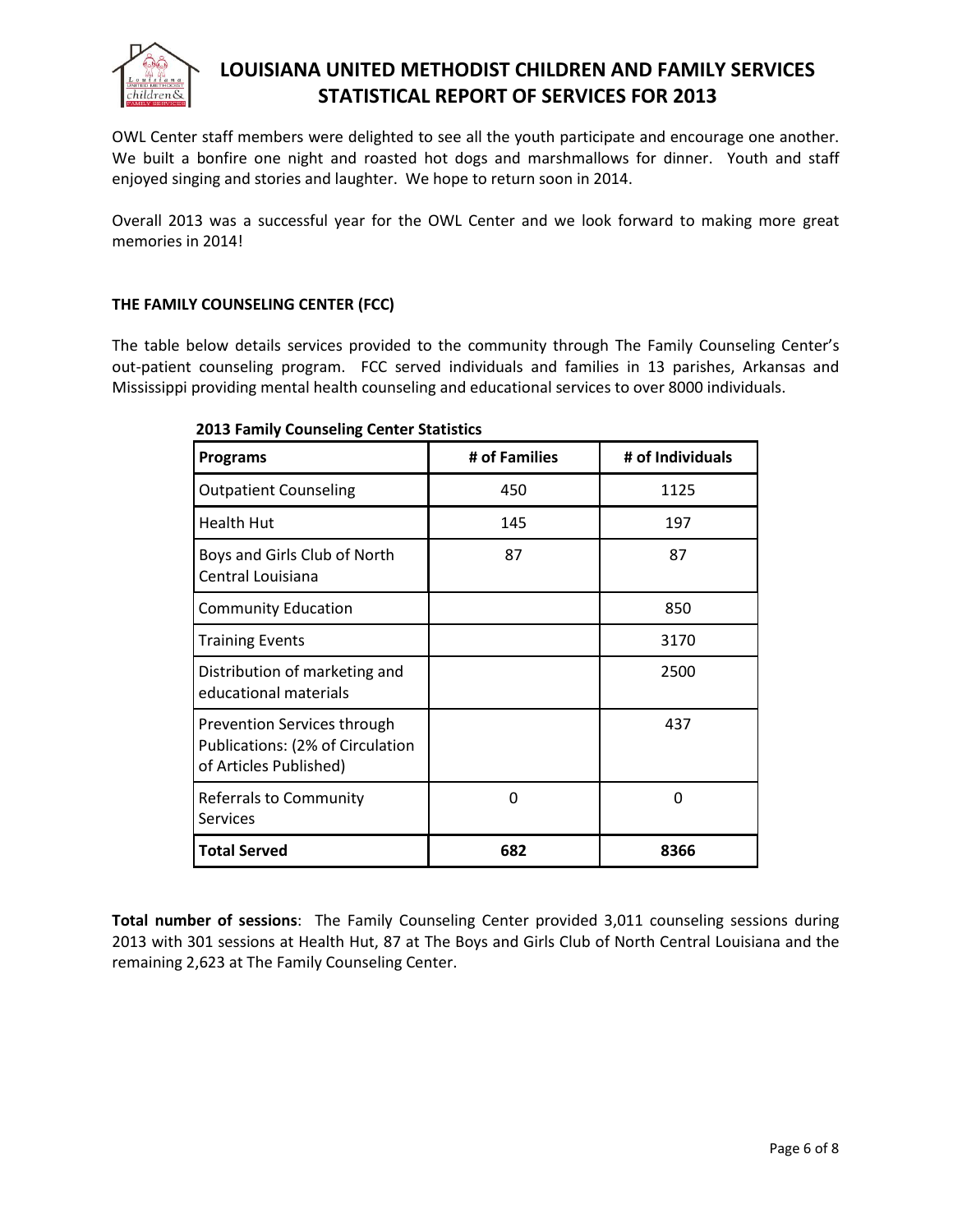

OWL Center staff members were delighted to see all the youth participate and encourage one another. We built a bonfire one night and roasted hot dogs and marshmallows for dinner. Youth and staff enjoyed singing and stories and laughter. We hope to return soon in 2014.

Overall 2013 was a successful year for the OWL Center and we look forward to making more great memories in 2014!

# **THE FAMILY COUNSELING CENTER (FCC)**

The table below details services provided to the community through The Family Counseling Center's out-patient counseling program. FCC served individuals and families in 13 parishes, Arkansas and Mississippi providing mental health counseling and educational services to over 8000 individuals.

| <b>Programs</b>                                                                           | # of Families | # of Individuals |
|-------------------------------------------------------------------------------------------|---------------|------------------|
| <b>Outpatient Counseling</b>                                                              | 450           | 1125             |
| <b>Health Hut</b>                                                                         | 145           | 197              |
| Boys and Girls Club of North<br>Central Louisiana                                         | 87            | 87               |
| <b>Community Education</b>                                                                |               | 850              |
| <b>Training Events</b>                                                                    |               | 3170             |
| Distribution of marketing and<br>educational materials                                    |               | 2500             |
| Prevention Services through<br>Publications: (2% of Circulation<br>of Articles Published) |               | 437              |
| Referrals to Community<br><b>Services</b>                                                 | 0             | 0                |
| <b>Total Served</b>                                                                       | 682           | 8366             |

# **2013 Family Counseling Center Statistics**

**Total number of sessions**: The Family Counseling Center provided 3,011 counseling sessions during 2013 with 301 sessions at Health Hut, 87 at The Boys and Girls Club of North Central Louisiana and the remaining 2,623 at The Family Counseling Center.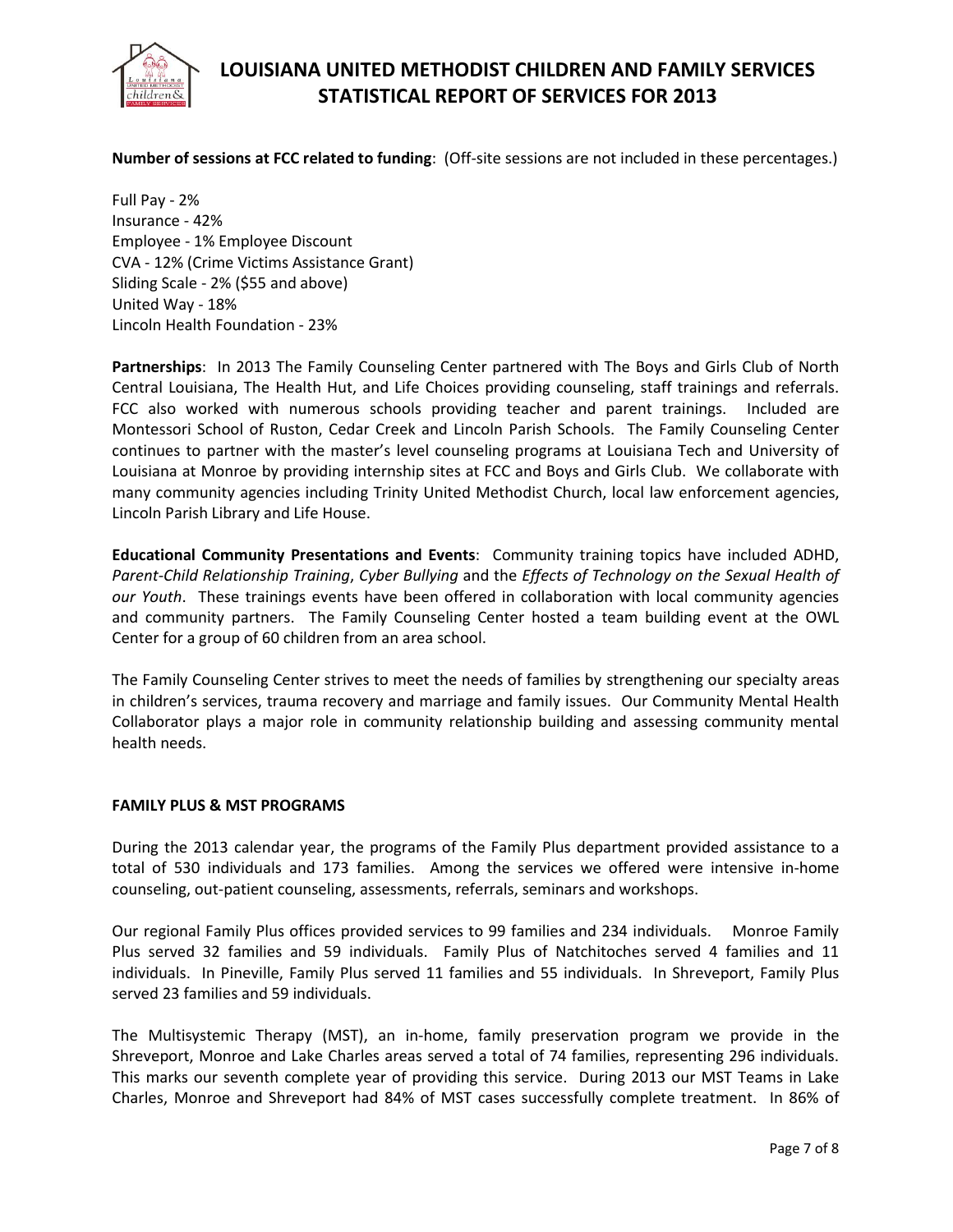

**Number of sessions at FCC related to funding**: (Off-site sessions are not included in these percentages.)

Full Pay - 2% Insurance - 42% Employee - 1% Employee Discount CVA - 12% (Crime Victims Assistance Grant) Sliding Scale - 2% (\$55 and above) United Way - 18% Lincoln Health Foundation - 23%

**Partnerships**: In 2013 The Family Counseling Center partnered with The Boys and Girls Club of North Central Louisiana, The Health Hut, and Life Choices providing counseling, staff trainings and referrals. FCC also worked with numerous schools providing teacher and parent trainings. Included are Montessori School of Ruston, Cedar Creek and Lincoln Parish Schools. The Family Counseling Center continues to partner with the master's level counseling programs at Louisiana Tech and University of Louisiana at Monroe by providing internship sites at FCC and Boys and Girls Club. We collaborate with many community agencies including Trinity United Methodist Church, local law enforcement agencies, Lincoln Parish Library and Life House.

**Educational Community Presentations and Events**: Community training topics have included ADHD, *Parent-Child Relationship Training*, *Cyber Bullying* and the *Effects of Technology on the Sexual Health of our Youth*. These trainings events have been offered in collaboration with local community agencies and community partners. The Family Counseling Center hosted a team building event at the OWL Center for a group of 60 children from an area school.

The Family Counseling Center strives to meet the needs of families by strengthening our specialty areas in children's services, trauma recovery and marriage and family issues. Our Community Mental Health Collaborator plays a major role in community relationship building and assessing community mental health needs.

#### **FAMILY PLUS & MST PROGRAMS**

During the 2013 calendar year, the programs of the Family Plus department provided assistance to a total of 530 individuals and 173 families. Among the services we offered were intensive in-home counseling, out-patient counseling, assessments, referrals, seminars and workshops.

Our regional Family Plus offices provided services to 99 families and 234 individuals. Monroe Family Plus served 32 families and 59 individuals. Family Plus of Natchitoches served 4 families and 11 individuals. In Pineville, Family Plus served 11 families and 55 individuals. In Shreveport, Family Plus served 23 families and 59 individuals.

The Multisystemic Therapy (MST), an in-home, family preservation program we provide in the Shreveport, Monroe and Lake Charles areas served a total of 74 families, representing 296 individuals. This marks our seventh complete year of providing this service. During 2013 our MST Teams in Lake Charles, Monroe and Shreveport had 84% of MST cases successfully complete treatment. In 86% of